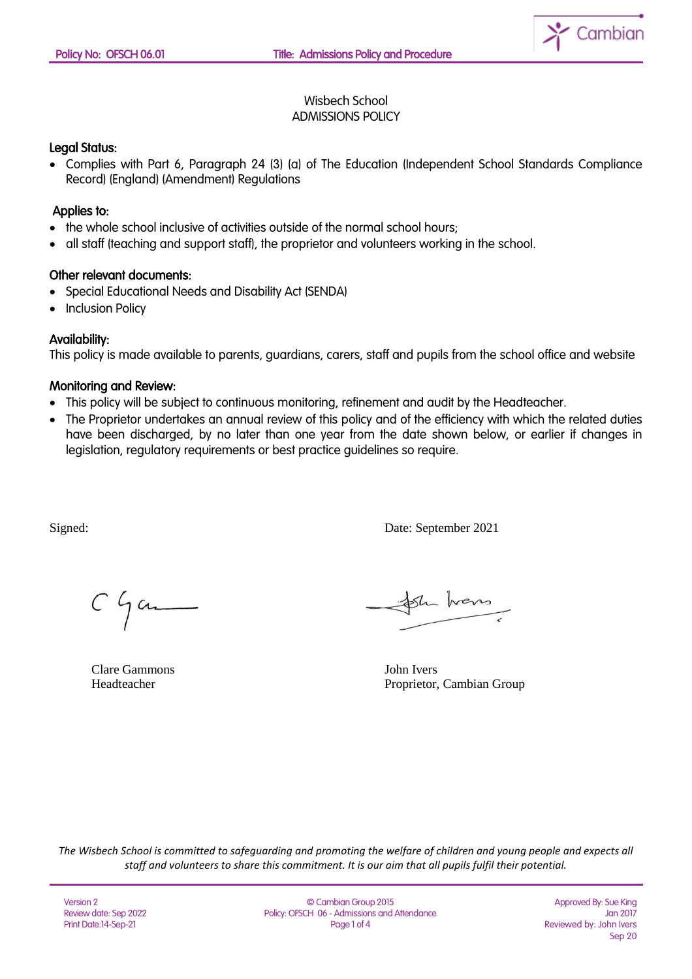

### Wisbech School ADMISSIONS POLICY

### Legal Status:

• Complies with Part 6, Paragraph 24 (3) (a) of The Education (Independent School Standards Compliance Record) (England) (Amendment) Regulations

### Applies to:

- the whole school inclusive of activities outside of the normal school hours;
- all staff (teaching and support staff), the proprietor and volunteers working in the school.

#### Other relevant documents:

- Special Educational Needs and Disability Act (SENDA)
- Inclusion Policy

#### Availability:

This policy is made available to parents, guardians, carers, staff and pupils from the school office and website

#### Monitoring and Review:

- This policy will be subject to continuous monitoring, refinement and audit by the Headteacher.
- The Proprietor undertakes an annual review of this policy and of the efficiency with which the related duties have been discharged, by no later than one year from the date shown below, or earlier if changes in legislation, regulatory requirements or best practice guidelines so require.

Signed: Date: September 2021

 $C$  game

Clare Gammons John Ivers

Sh hans

Headteacher Proprietor, Cambian Group

*The Wisbech School is committed to safeguarding and promoting the welfare of children and young people and expects all staff and volunteers to share this commitment. It is our aim that all pupils fulfil their potential.*

© Cambian Group 2015 Policy: OFSCH 06 - Admissions and Attendance Page 1 of 4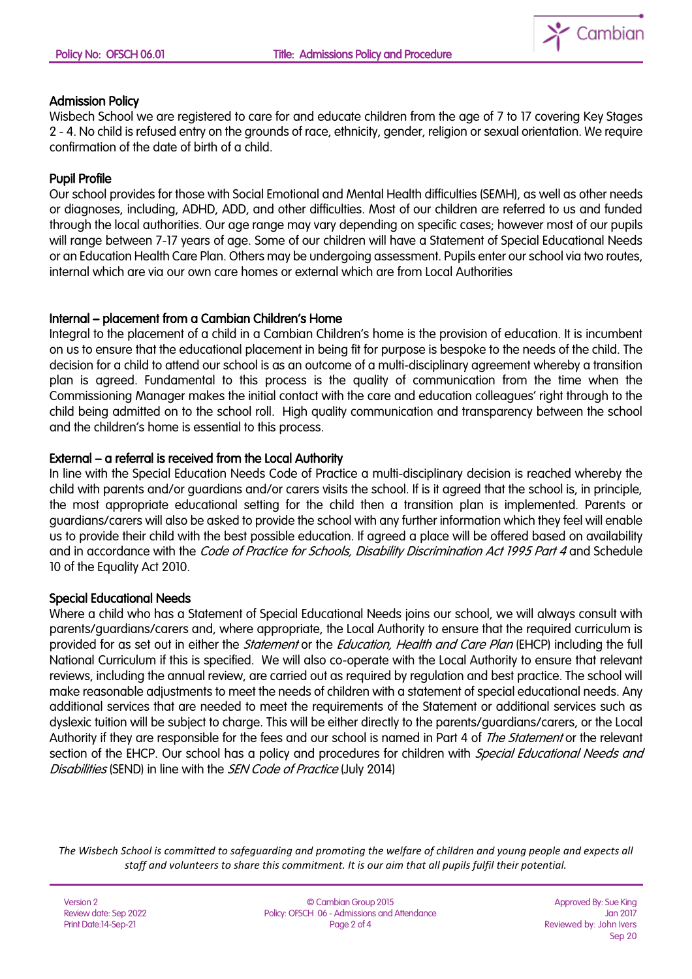

## Admission Policy

Wisbech School we are registered to care for and educate children from the age of 7 to 17 covering Key Stages 2 - 4. No child is refused entry on the grounds of race, ethnicity, gender, religion or sexual orientation. We require confirmation of the date of birth of a child.

# Pupil Profile

Our school provides for those with Social Emotional and Mental Health difficulties (SEMH), as well as other needs or diagnoses, including, ADHD, ADD, and other difficulties. Most of our children are referred to us and funded through the local authorities. Our age range may vary depending on specific cases; however most of our pupils will range between 7-17 years of age. Some of our children will have a Statement of Special Educational Needs or an Education Health Care Plan. Others may be undergoing assessment. Pupils enter our school via two routes, internal which are via our own care homes or external which are from Local Authorities

## Internal – placement from a Cambian Children's Home

Integral to the placement of a child in a Cambian Children's home is the provision of education. It is incumbent on us to ensure that the educational placement in being fit for purpose is bespoke to the needs of the child. The decision for a child to attend our school is as an outcome of a multi-disciplinary agreement whereby a transition plan is agreed. Fundamental to this process is the quality of communication from the time when the Commissioning Manager makes the initial contact with the care and education colleagues' right through to the child being admitted on to the school roll. High quality communication and transparency between the school and the children's home is essential to this process.

## External – a referral is received from the Local Authority

In line with the Special Education Needs Code of Practice a multi-disciplinary decision is reached whereby the child with parents and/or guardians and/or carers visits the school. If is it agreed that the school is, in principle, the most appropriate educational setting for the child then a transition plan is implemented. Parents or guardians/carers will also be asked to provide the school with any further information which they feel will enable us to provide their child with the best possible education. If agreed a place will be offered based on availability and in accordance with the *Code of Practice for Schools, Disability Discrimination Act 1995 Part 4* and Schedule 10 of the Equality Act 2010.

## Special Educational Needs

Where a child who has a Statement of Special Educational Needs joins our school, we will always consult with parents/guardians/carers and, where appropriate, the Local Authority to ensure that the required curriculum is provided for as set out in either the *Statement* or the *Education, Health and Care Plan* (EHCP) including the full National Curriculum if this is specified. We will also co-operate with the Local Authority to ensure that relevant reviews, including the annual review, are carried out as required by regulation and best practice. The school will make reasonable adjustments to meet the needs of children with a statement of special educational needs. Any additional services that are needed to meet the requirements of the Statement or additional services such as dyslexic tuition will be subject to charge. This will be either directly to the parents/guardians/carers, or the Local Authority if they are responsible for the fees and our school is named in Part 4 of The Statement or the relevant section of the EHCP. Our school has a policy and procedures for children with *Special Educational Needs and* Disabilities (SEND) in line with the SEN Code of Practice (July 2014)

*The Wisbech School is committed to safeguarding and promoting the welfare of children and young people and expects all staff and volunteers to share this commitment. It is our aim that all pupils fulfil their potential.*

| Version 2             |
|-----------------------|
| Review date: Sep 2022 |
| Print Date:14-Sep-21  |

© Cambian Group 2015 Policy: OFSCH 06 - Admissions and Attendance Page 2 of 4

Approved By: Sue King Jan 2017 Reviewed by: John Ivers Sep 20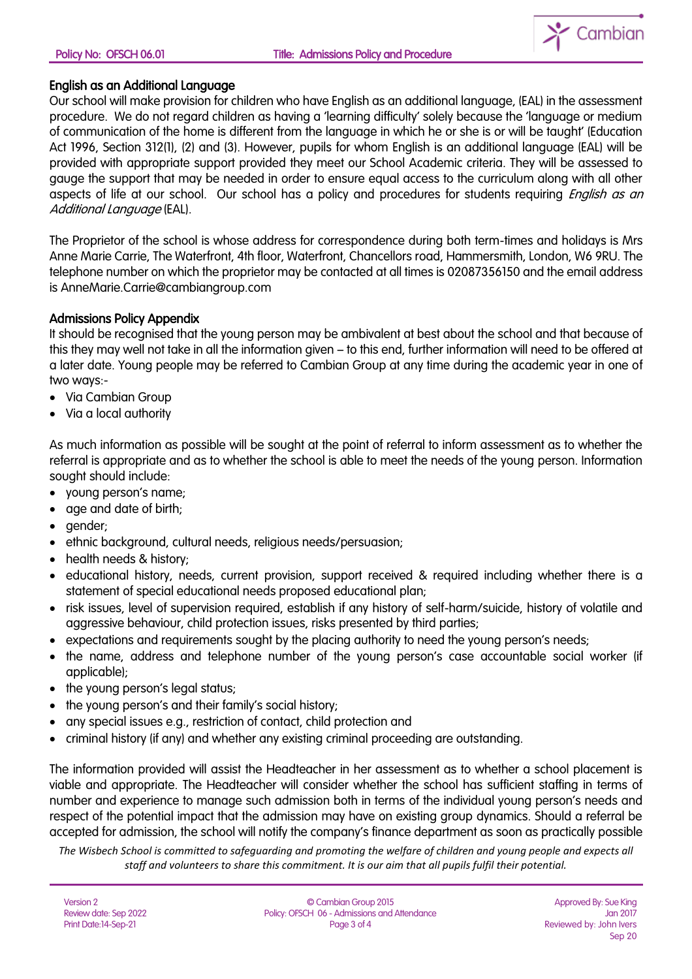

### English as an Additional Language

Our school will make provision for children who have English as an additional language, (EAL) in the assessment procedure. We do not regard children as having a 'learning difficulty' solely because the 'language or medium of communication of the home is different from the language in which he or she is or will be taught' (Education Act 1996, Section 312(1), (2) and (3). However, pupils for whom English is an additional language (EAL) will be provided with appropriate support provided they meet our School Academic criteria. They will be assessed to gauge the support that may be needed in order to ensure equal access to the curriculum along with all other aspects of life at our school. Our school has a policy and procedures for students requiring *English as an* Additional Language (EAL).

The Proprietor of the school is whose address for correspondence during both term-times and holidays is Mrs Anne Marie Carrie, The Waterfront, 4th floor, Waterfront, Chancellors road, Hammersmith, London, W6 9RU. The telephone number on which the proprietor may be contacted at all times is 02087356150 and the email address is AnneMarie.Carrie@cambiangroup.com

## Admissions Policy Appendix

It should be recognised that the young person may be ambivalent at best about the school and that because of this they may well not take in all the information given – to this end, further information will need to be offered at a later date. Young people may be referred to Cambian Group at any time during the academic year in one of two ways:-

- Via Cambian Group
- Via a local authority

As much information as possible will be sought at the point of referral to inform assessment as to whether the referral is appropriate and as to whether the school is able to meet the needs of the young person. Information sought should include:

- young person's name;
- age and date of birth;
- gender;
- ethnic background, cultural needs, religious needs/persuasion;
- health needs & history;
- educational history, needs, current provision, support received & required including whether there is a statement of special educational needs proposed educational plan;
- risk issues, level of supervision required, establish if any history of self-harm/suicide, history of volatile and aggressive behaviour, child protection issues, risks presented by third parties;
- expectations and requirements sought by the placing authority to need the young person's needs;
- the name, address and telephone number of the young person's case accountable social worker (if applicable);
- the young person's legal status;
- the young person's and their family's social history;
- any special issues e.g., restriction of contact, child protection and
- criminal history (if any) and whether any existing criminal proceeding are outstanding.

The information provided will assist the Headteacher in her assessment as to whether a school placement is viable and appropriate. The Headteacher will consider whether the school has sufficient staffing in terms of number and experience to manage such admission both in terms of the individual young person's needs and respect of the potential impact that the admission may have on existing group dynamics. Should a referral be accepted for admission, the school will notify the company's finance department as soon as practically possible

*The Wisbech School is committed to safeguarding and promoting the welfare of children and young people and expects all staff and volunteers to share this commitment. It is our aim that all pupils fulfil their potential.*